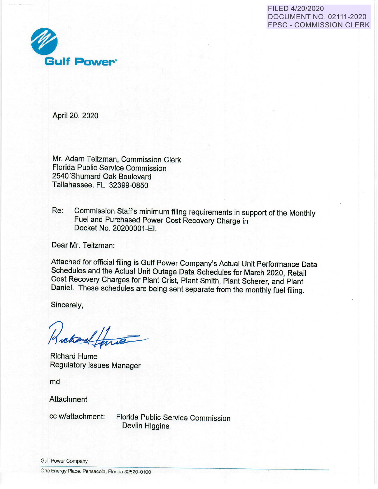FILED 4/20/2020 DOCUMENT NO. 02111-2020 FPSC - COMMISSION CLERK



April 20, 2020

Mr. Adam Teitzman, Commission Clerk Florida Public Service Commission 2540 'Shumard Oak Boulevard Tallahassee, FL 32399-0850

Re: Commission Staff's minimum filing requirements in support of the Monthly Fuel and Purchased Power Cost Recovery Charge in Docket No. 20200001-EI.

Dear Mr. Teitzman:

Attached for official filing is Gulf Power Company's Actual Unit Performance Data Schedules and the Actual Unit Outage Data Schedules for March 2020, Retail Cost Recovery Charges for Plant Crist, Plant Smith, Plant Scherer, and Plant Daniel. These schedules are being sent separate from the monthly fuel filing.

Sincerely,

Lekand forme

Richard Hume Regulatory Issues Manager

md

**Attachment** 

cc w/attachment: Florida Public Service Commission Devlin Higgins

Gulf Power Company

One Energy Place, Pensacola, Florida 32520-0100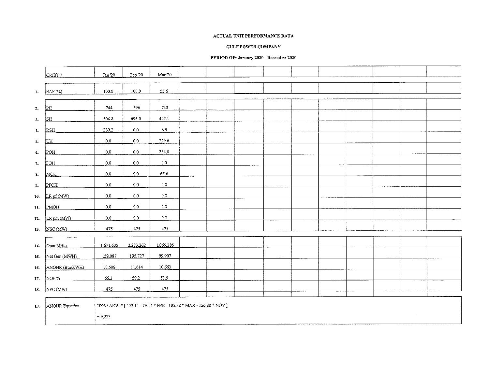#### **GULF POWER COMPANY**

## **PERIOD OF: January 2020- December 2020**

|            | CRIST <sub>7</sub> | Jan '20   | Feb '20   | Mar 20                                                                                   |  |  |  |  |  |
|------------|--------------------|-----------|-----------|------------------------------------------------------------------------------------------|--|--|--|--|--|
|            |                    |           |           |                                                                                          |  |  |  |  |  |
| I.         | EAF (%)            | 100.0     | 100.0     | 55.6                                                                                     |  |  |  |  |  |
|            |                    |           |           |                                                                                          |  |  |  |  |  |
| 2.         | PH                 | 744       | 696       | 743                                                                                      |  |  |  |  |  |
| 3.         | SH                 | 504.8     | 696.0     | 405.1                                                                                    |  |  |  |  |  |
| $\ddot{ }$ | <b>RSH</b>         | 239.2     | $_{0.0}$  | 8.3                                                                                      |  |  |  |  |  |
| 5.         | UH                 | $0.0\,$   | 0.0       | 329.6                                                                                    |  |  |  |  |  |
| 6.         | POH                | 0.0       | 0.0       | 264.0                                                                                    |  |  |  |  |  |
| 7.         | FOH                | $0.0\,$   | 0.0       | 0.0                                                                                      |  |  |  |  |  |
| 8.         | <b>MOH</b>         | $0.0\,$   | 0.0       | 65.6                                                                                     |  |  |  |  |  |
| 9.         | PFOH               | $0.0\,$   | 0.0       | 0.0                                                                                      |  |  |  |  |  |
|            | 10. $LRpf(MW)$     | 0.0       | 0.0       | 0.0                                                                                      |  |  |  |  |  |
| 11.        | PMOH               | 0.0       | 0.0       | 0.0                                                                                      |  |  |  |  |  |
| 12.        | LR pm (MW)         | 0.0       | 0.0       | 0.0                                                                                      |  |  |  |  |  |
|            | 13. NSC (MW)       | 475       | 475       | 475                                                                                      |  |  |  |  |  |
|            |                    |           |           |                                                                                          |  |  |  |  |  |
| 14.        | Oper MBtu          | 1,671,635 | 2,273,262 | 1,065,285                                                                                |  |  |  |  |  |
| 15.        | Net Gen (MWH)      | 159,087   | 195,727   | 99,907                                                                                   |  |  |  |  |  |
| 16.        | ANOHR (Btu/KWH)    | 10,508    | 11,614    | 10,663                                                                                   |  |  |  |  |  |
| 17.        | NOF%               | 66.3      | 59.2      | 51.9                                                                                     |  |  |  |  |  |
| 18.        | NPC(MW)            | 475       | 475       | 475                                                                                      |  |  |  |  |  |
|            |                    |           |           | $10\%$ / AKW * [ $452.14$ - $79.14$ * FEB - $105.38$ * MAR - $156.80$ * $\mathrm{NOV}$ ] |  |  |  |  |  |
|            | 19. ANOHR Equation | $+9,223$  |           |                                                                                          |  |  |  |  |  |
|            |                    |           |           |                                                                                          |  |  |  |  |  |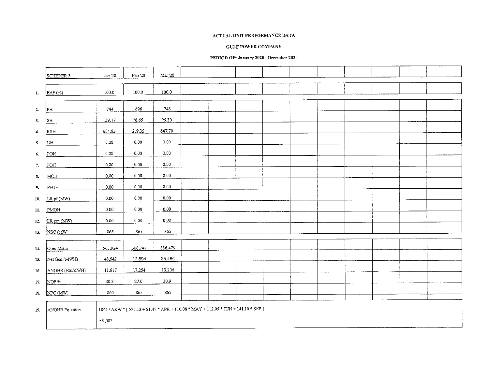## **GULF POWER COMPANY**

## PERIOD OF: January 2020 - December 2020

|              | SCHERER 3       | $\rm{Jan}$ '20 | Feb $20\,$                                                                       | Mar '20  |  |  |  |        |  |  |
|--------------|-----------------|----------------|----------------------------------------------------------------------------------|----------|--|--|--|--------|--|--|
|              |                 |                |                                                                                  |          |  |  |  |        |  |  |
| 1.           | EAF (%)         | 100.0          | 100.0                                                                            | 100.0    |  |  |  |        |  |  |
|              |                 |                |                                                                                  |          |  |  |  |        |  |  |
| $\mathbf{z}$ | PL              | 744            | 696                                                                              | 743      |  |  |  |        |  |  |
| 3.           | SH              | 139.17         | 76.65                                                                            | 95.30    |  |  |  |        |  |  |
|              |                 |                |                                                                                  |          |  |  |  | $\sim$ |  |  |
| $\ddot{ }$   | RSH             | 604.83         | 619.35                                                                           | 647.70   |  |  |  |        |  |  |
| 5.           | UH.             | 0,00           | 0.00                                                                             | $0.00\,$ |  |  |  |        |  |  |
| 6.           | POH             | 0.00           | 0.00                                                                             | 0.00     |  |  |  |        |  |  |
| 7.           | FOH             | 0.00           | 0,00                                                                             | 0.00     |  |  |  |        |  |  |
| 8.           | MOH             | 0.00           | 0.00                                                                             | 0.00     |  |  |  |        |  |  |
|              |                 |                |                                                                                  |          |  |  |  |        |  |  |
| 9.           | PFOH            | 0.00           | $0.00\,$                                                                         | 0.00     |  |  |  |        |  |  |
| 10.          | LRpf(MW)        | 0.00           | 0.00                                                                             | 0.00     |  |  |  |        |  |  |
| 11.          | PMOH            | 0.00           | 0.00                                                                             | 0.00     |  |  |  |        |  |  |
| 12.          | LR pm (MW)      | 0.00           | 0.00                                                                             | 0.00     |  |  |  |        |  |  |
| 13.          | NSC (MW)        | 865            | 865                                                                              | 865      |  |  |  |        |  |  |
|              |                 |                |                                                                                  |          |  |  |  |        |  |  |
| 14.          | Oper MBtu       | 563,924        | 308.747                                                                          | 336,479  |  |  |  |        |  |  |
| 15.          | Net Gen (MWH)   | 48.542         | 17,894                                                                           | 25,480   |  |  |  |        |  |  |
| 16.          | ANOHR (Btu/KWH) | 11,617         | 17.254                                                                           | 13,206   |  |  |  |        |  |  |
|              |                 |                |                                                                                  |          |  |  |  |        |  |  |
| 17.          | NOF %           | 40.3           | 27.0                                                                             | 30.9     |  |  |  |        |  |  |
| 18.          | NPC (MW)        | 865            | 865                                                                              | 865      |  |  |  |        |  |  |
|              |                 |                |                                                                                  |          |  |  |  |        |  |  |
| 19.          | ANOHR Equation  |                | 10^6 / AKW * [576.13 + 81.47 * APR + 110.08 * MAY + 112.05 * JUN + 141.10 * SEP] |          |  |  |  |        |  |  |
|              |                 | $+9,502$       |                                                                                  |          |  |  |  |        |  |  |
|              |                 |                |                                                                                  |          |  |  |  |        |  |  |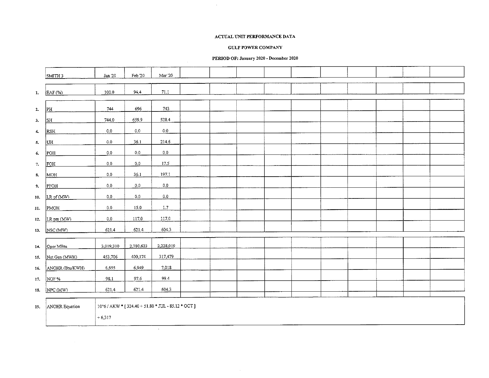## **GULF POWER COMPANY**

## PERIOD OF: January 2020 - December 2020

 $\cdot$ 

|            | $ SMTH_3 $      | Jan 20    | Feb $20\,$ | Mar '20                                           |  |  |  |  |  |
|------------|-----------------|-----------|------------|---------------------------------------------------|--|--|--|--|--|
|            |                 |           |            |                                                   |  |  |  |  |  |
| $1.$       | EAF (%)         | 100.0     | 944        | $71.1\,$                                          |  |  |  |  |  |
|            |                 |           |            |                                                   |  |  |  |  |  |
| 2.         | PH              | 744       | 696        | 743                                               |  |  |  |  |  |
| 3.         | SH              | 744.0     | 659.9      | 528.4                                             |  |  |  |  |  |
| $\ddot{ }$ | <b>RSH</b>      | $0.0\,$   | $0.0\,$    | 0.0                                               |  |  |  |  |  |
| 5.         | UH              | 0.0       | 36.1       | 214.6                                             |  |  |  |  |  |
| 6.         | POH             | 0.0       | 0.0        | 0.0                                               |  |  |  |  |  |
| 7.         | FOH             | 0.0       | 0.0        | 17.5                                              |  |  |  |  |  |
| 8.         | MOH             | 0.0       | 36.1       | 197.1                                             |  |  |  |  |  |
| 9.         | PFOH            | 0.0       | $0.0\,$    | 0.0                                               |  |  |  |  |  |
| 10.        | LR pf (MW)      | 0.0       | $_{0.0}$   | 0.0                                               |  |  |  |  |  |
|            |                 |           |            |                                                   |  |  |  |  |  |
| 11.        | PMOH            | $0.0\,$   | 15.0       | $1.7\,$                                           |  |  |  |  |  |
| 12.        | LR pm (MW)      | 0.0       | 117.0      | 117.0                                             |  |  |  |  |  |
| 13.        | NSC (MW)        | 621.4     | 621.4      | 604.3                                             |  |  |  |  |  |
|            |                 |           | 2,780,623  | 2,228,019                                         |  |  |  |  |  |
| 14.        | Oper MBtu       | 3,019,310 |            |                                                   |  |  |  |  |  |
| 15.        | Net Gen (MWH)   | 453,706   | 400,174    | 317,479                                           |  |  |  |  |  |
| 16.        | ANOHR (Btu/KWH) | 6,655     | 6,949      | 7,018                                             |  |  |  |  |  |
| 17.        | NOF %           | 98.1      | 97.6       | 99.4                                              |  |  |  |  |  |
| 18.        | NPC(MW)         | 621.4     | 621.4      | 604.3                                             |  |  |  |  |  |
|            |                 |           |            |                                                   |  |  |  |  |  |
| 19.        | ANOHR Equation  |           |            | 10^6 / AKW * [324.40 + 51.80 * JUL - 85.12 * OCT] |  |  |  |  |  |
|            |                 | $+6,317$  |            |                                                   |  |  |  |  |  |
|            |                 |           |            | $\sim$                                            |  |  |  |  |  |

 $\sim$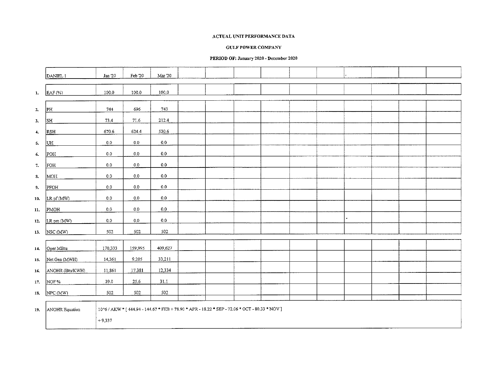#### **GULF POWER COMPANY**

## PERIOD OF: January 2020 - December 2020

|              | DANIEL 1               | Jan 20   | Feb $20\,$ | Mar '20 |  |                                                                                                |  |                |  |  |
|--------------|------------------------|----------|------------|---------|--|------------------------------------------------------------------------------------------------|--|----------------|--|--|
|              |                        |          |            |         |  |                                                                                                |  |                |  |  |
| $\mathbf{1}$ | $EAF (\%)$             | 100.0    | 100.0      | 100,0   |  |                                                                                                |  |                |  |  |
|              |                        |          |            |         |  |                                                                                                |  |                |  |  |
|              | PH                     | 744      | 696        | 743     |  |                                                                                                |  |                |  |  |
| 2.           |                        |          |            |         |  |                                                                                                |  |                |  |  |
| 3.           | $\overline{\text{SH}}$ | 73.4     | 71.6       | 212.4   |  |                                                                                                |  |                |  |  |
| $\ddot{ }$   | RSH                    | 670.6    | 624.4      | 530.6   |  |                                                                                                |  |                |  |  |
| 5.           | UH                     | 0.0      | $0.0\,$    | 0.0     |  |                                                                                                |  |                |  |  |
| 6.           | POH                    | $0.0\,$  | 0,0        | $0.0\,$ |  |                                                                                                |  |                |  |  |
| $7.$         | FOH                    | $0.0\,$  | 0.0        | 0.0     |  |                                                                                                |  |                |  |  |
| 8.           | MOH                    | 0.0      | $0.0\,$    | $0.0\,$ |  |                                                                                                |  |                |  |  |
| 9.           | PFOH                   | 0,0      | $0.0\,$    | $0.0\,$ |  |                                                                                                |  |                |  |  |
| 10.          | LRpf(MW)               | $0.0\,$  | $0.0\,$    | $0.0\,$ |  |                                                                                                |  |                |  |  |
| 11.          | PMOH                   | 0.0      | 0.0        | 0.0     |  |                                                                                                |  |                |  |  |
|              |                        |          |            |         |  |                                                                                                |  | $\overline{a}$ |  |  |
| 12.          | LR pm (MW)             | $0.0\,$  | 0.0        | $0.0\,$ |  |                                                                                                |  |                |  |  |
| 13.          | NSC (MW)               | 502      | 502        | 502     |  |                                                                                                |  |                |  |  |
|              |                        |          |            |         |  |                                                                                                |  |                |  |  |
| 14.          | Oper MBtu              | 170,333  | 159,995    | 409,627 |  |                                                                                                |  |                |  |  |
| 15.          | Net Gen (MWH)          | 14,361   | 9,205      | 33,211  |  |                                                                                                |  |                |  |  |
| 16.          | ANOHR (Btu/KWH)        | 11,861   | 17,381     | 12,334  |  |                                                                                                |  |                |  |  |
| 17.          | NOF%                   | 39.0     | 25.6       | 31.1    |  |                                                                                                |  |                |  |  |
| 18.          | NPC (MW)               | 502      | 502        | 502     |  |                                                                                                |  |                |  |  |
|              |                        |          |            |         |  |                                                                                                |  |                |  |  |
|              |                        |          |            |         |  |                                                                                                |  |                |  |  |
| 19.          | ANOHR Equation         |          |            |         |  | 10^6 / AKW * [ 444.94 - 144.67 * FEB + 78.90 * APR - 18.22 * SEP - 72.06 * OCT - 80.33 * NOV ] |  |                |  |  |
|              |                        | $+9.337$ |            |         |  |                                                                                                |  |                |  |  |
|              |                        |          |            |         |  |                                                                                                |  |                |  |  |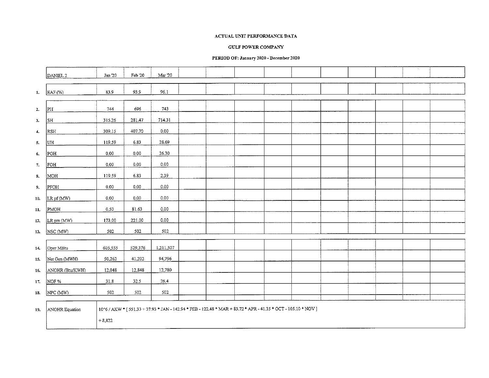#### GULF POWER COMPANY

#### PERIOD OF: January 2020 - December 2020

|                |                        | Jan 20   | Feb 20  | Mar '20   |  |                                                                                                                |  |  |  |  |
|----------------|------------------------|----------|---------|-----------|--|----------------------------------------------------------------------------------------------------------------|--|--|--|--|
|                | DANIEL <sub>2</sub>    |          |         |           |  |                                                                                                                |  |  |  |  |
| $\mathbf{1}$   | EAF (%)                | 83.9     | 93.9    | 96.1      |  |                                                                                                                |  |  |  |  |
| $\mathbf{2}$   | PH                     | 744      | 696     | 743       |  |                                                                                                                |  |  |  |  |
| 3.             | $\overline{\text{SH}}$ | 315.26   | 281.47  | 714.31    |  |                                                                                                                |  |  |  |  |
| $\overline{4}$ | <b>RSH</b>             | 309.15   | 407.70  | 0.00      |  |                                                                                                                |  |  |  |  |
| $\mathbf{5}$   | UH                     | 119.59   | 6.83    | 28.69     |  |                                                                                                                |  |  |  |  |
| 6.             | POH                    | 0.00     | 0.00    | 26.30     |  |                                                                                                                |  |  |  |  |
| 7.             | FOH                    | 0.00     | 0.00    | 0.00      |  |                                                                                                                |  |  |  |  |
| <b>S.</b>      | MOH                    | 119.59   | 6.83    | 2.39      |  |                                                                                                                |  |  |  |  |
| 9.             | PFOH                   | 0.00     | 0.00    | 0.00      |  |                                                                                                                |  |  |  |  |
| 10.            | LR pf (MW)             | 0.00     | 0.00    | 0.00      |  |                                                                                                                |  |  |  |  |
| 11.            | PMOH                   | 0.50     | 81.63   | 0.00      |  |                                                                                                                |  |  |  |  |
| 12.            | LR pm (MW)             | 173.00   | 221.00  | 0,00      |  |                                                                                                                |  |  |  |  |
| 13.            | NSC (MW)               | 502      | 502     | 502       |  |                                                                                                                |  |  |  |  |
| 14.            | Oper MBtu              | 605,555  | 529,376 | 1,211,507 |  |                                                                                                                |  |  |  |  |
| 15.            | Net Gen (MWH)          | 50,262   | 41,202  | 94,796    |  |                                                                                                                |  |  |  |  |
| 16.            | ANOHR (Btu/KWH)        | 12,048   | 12,848  | 12,780    |  |                                                                                                                |  |  |  |  |
| 17.            | NOF %                  | 318      | 32.5    | 26.4      |  |                                                                                                                |  |  |  |  |
| 18.            | NPC (MW)               | 502      | 502     | 502       |  |                                                                                                                |  |  |  |  |
| 19.            | ANOHR Equation         | $+8,822$ |         |           |  | 10^6 / AKW * [ 551.33 + 37.93 * JAN - 142.94 * FEB - 122.48 * MAR + 83.72 * APR - 41.35 * OCT - 105.10 * NOV ] |  |  |  |  |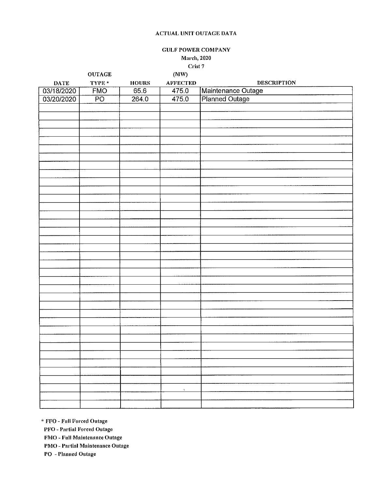**GULF POWER COMPANY** 

March, 2020

**Crist 7** 

|                 | <b>OUTAGE</b>   |              | (MW)            |                                      |
|-----------------|-----------------|--------------|-----------------|--------------------------------------|
| $\mathbf{DATE}$ | TYPE*           | <b>HOURS</b> | <b>AFFECTED</b> | <b>DESCRIPTION</b>                   |
| 03/18/2020      | FMO             | 65.6         | 475.0           | Maintenance Outage<br>Planned Outage |
| 03/20/2020      | $\overline{PO}$ | 264.0        | 475.0           |                                      |
|                 |                 |              |                 |                                      |
|                 |                 |              |                 |                                      |
|                 |                 |              |                 |                                      |
|                 |                 |              |                 |                                      |
|                 |                 |              |                 |                                      |
|                 |                 |              |                 |                                      |
|                 |                 |              |                 |                                      |
|                 |                 |              |                 |                                      |
|                 |                 |              |                 |                                      |
|                 |                 |              |                 |                                      |
|                 |                 |              |                 |                                      |
|                 |                 |              |                 |                                      |
|                 |                 |              |                 |                                      |
|                 |                 |              |                 |                                      |
|                 |                 |              |                 |                                      |
|                 |                 |              |                 |                                      |
|                 |                 |              |                 |                                      |
|                 |                 |              |                 |                                      |
|                 |                 |              |                 |                                      |
|                 |                 |              |                 |                                      |
|                 |                 |              |                 |                                      |
|                 |                 |              |                 |                                      |
|                 |                 |              |                 |                                      |
|                 |                 |              |                 |                                      |
|                 |                 |              |                 |                                      |
|                 |                 |              |                 |                                      |
|                 |                 |              |                 |                                      |
|                 |                 |              |                 |                                      |
|                 |                 |              |                 |                                      |
|                 |                 |              |                 |                                      |
|                 |                 |              |                 |                                      |
|                 |                 |              |                 |                                      |
|                 |                 |              |                 |                                      |
|                 |                 |              |                 |                                      |
|                 |                 |              | x               |                                      |
|                 |                 |              |                 |                                      |
|                 |                 |              |                 |                                      |
|                 |                 |              |                 |                                      |

\* **FFO - Full Forced Outage** 

**PFO - Prn·tinl Forced Outage** 

**FMO - Full Mnintennnce Outage** 

**PMO - Pnrtinl Mnintennnce Outage** 

**PO - Planned Outage**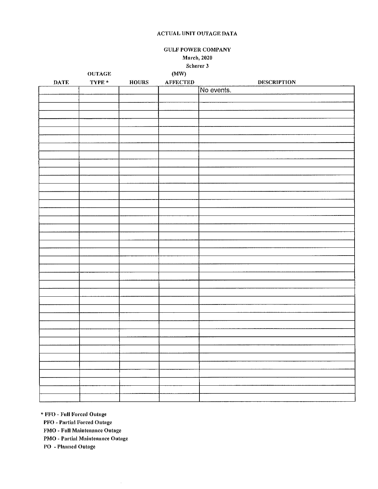**GULF POWER COMPANY March**, 2020

Scherer 3

|             | <b>OUTAGE</b> |               | (MW)            |                    |
|-------------|---------------|---------------|-----------------|--------------------|
| <b>DATE</b> | TYPE $^*$     | ${\bf HOUNS}$ | <b>AFFECTED</b> | <b>DESCRIPTION</b> |
|             |               |               |                 | No events.         |
|             |               |               |                 |                    |
|             |               |               |                 |                    |
|             |               |               |                 |                    |
|             |               |               |                 |                    |
|             |               |               |                 |                    |
|             |               |               |                 |                    |
|             |               |               |                 |                    |
|             |               |               |                 |                    |
|             |               |               |                 |                    |
|             |               |               |                 |                    |
|             |               |               |                 |                    |
|             |               |               |                 |                    |
|             |               |               |                 |                    |
|             |               |               |                 |                    |
|             |               |               |                 |                    |
|             |               |               |                 |                    |
|             |               |               |                 |                    |
|             |               |               |                 |                    |
|             |               |               |                 |                    |
|             |               |               |                 |                    |
|             |               |               |                 |                    |
|             |               |               |                 |                    |
|             |               |               |                 |                    |
|             |               |               |                 |                    |
|             |               |               |                 |                    |
|             |               |               |                 |                    |
|             |               |               |                 |                    |
|             |               |               |                 |                    |
|             |               |               |                 |                    |
|             |               |               |                 |                    |
|             |               |               |                 |                    |
|             |               |               |                 |                    |
|             |               |               |                 |                    |
|             |               |               |                 |                    |
|             |               |               |                 |                    |
|             |               |               |                 |                    |
|             |               |               |                 |                    |
|             |               |               |                 |                    |
|             |               |               |                 |                    |
|             |               |               |                 |                    |
|             |               |               |                 |                    |

\* FFO - Full Forced Outage

**PFO** - Partial Forced Outage

FMO - Full Maintenance Outage

PMO - Partial Maintenance Outage

 $\hat{\boldsymbol{\beta}}$ 

PO - Planned Outage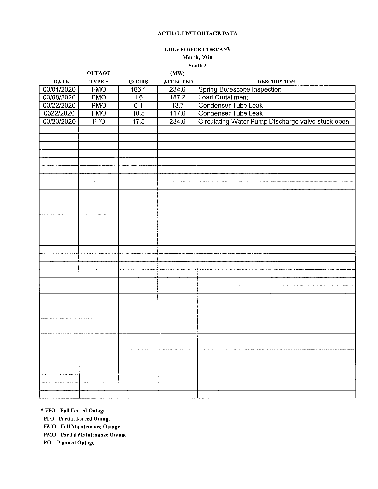$\epsilon$ 

# **GULF POWER COMPANY**

**J\'larch, 2020** 

**Smith 3** 

|             | <b>OUTAGE</b> |                  | (MW)            |                                                   |
|-------------|---------------|------------------|-----------------|---------------------------------------------------|
| <b>DATE</b> | TYPE *        | <b>HOURS</b>     | <b>AFFECTED</b> | <b>DESCRIPTION</b>                                |
| 03/01/2020  | <b>FMO</b>    | 186.1            | 234.0           | Spring Borescope Inspection                       |
| 03/08/2020  | <b>PMO</b>    | 1.6              | 187.2           | Load Curtailment                                  |
| 03/22/2020  | <b>PMO</b>    | $\overline{0.1}$ | 13.7            | Condenser Tube Leak                               |
| 0322/2020   | <b>FMO</b>    | 10.5             | 117.0           | Condenser Tube Leak                               |
| 03/23/2020  | <b>FFO</b>    | 17.5             | 234.0           | Circulating Water Pump Discharge valve stuck open |
|             |               |                  |                 |                                                   |
|             |               |                  |                 |                                                   |
|             |               |                  |                 |                                                   |
|             |               |                  |                 |                                                   |
|             |               |                  |                 |                                                   |
|             |               |                  |                 |                                                   |
|             |               |                  |                 |                                                   |
|             |               |                  |                 |                                                   |
|             |               |                  |                 |                                                   |
|             |               |                  |                 |                                                   |
|             |               |                  |                 |                                                   |
|             |               |                  |                 |                                                   |
|             |               |                  |                 |                                                   |
|             |               |                  |                 |                                                   |
|             |               |                  |                 |                                                   |
|             |               |                  |                 |                                                   |
|             |               |                  |                 |                                                   |
|             |               |                  |                 |                                                   |
|             |               |                  |                 |                                                   |
|             |               |                  |                 |                                                   |
|             |               |                  |                 |                                                   |
|             |               |                  |                 |                                                   |
|             |               |                  |                 |                                                   |
|             |               |                  |                 |                                                   |
|             |               |                  |                 |                                                   |
|             |               |                  |                 |                                                   |
|             |               |                  |                 |                                                   |
|             |               |                  |                 |                                                   |
|             |               |                  |                 |                                                   |
|             |               |                  |                 |                                                   |
|             |               |                  |                 |                                                   |
|             |               |                  |                 |                                                   |
|             |               |                  |                 |                                                   |
|             |               |                  |                 |                                                   |
|             |               |                  |                 |                                                   |

\* **FFO - Full Forced Outage** 

**PFO - Partial Forced Outage** 

**F1\'IO - Full Maintenance Outage** 

**PJ\'1O - Pa1·tial Maintenance Outage** 

**PO - l <sup>1</sup> lnnncd Outage**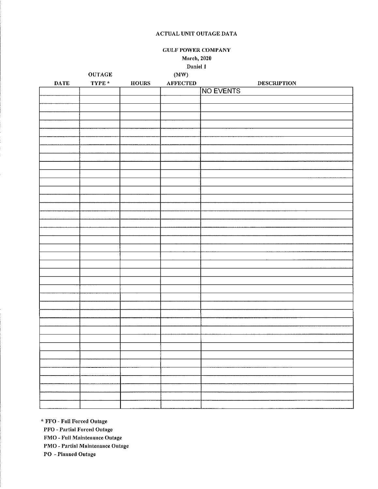GULF POWER COMPANY

**.Mnrch, 2020** 

**Daniel 1** 

|                 | <b>OUTAGE</b>              |                                           | $(\mbox{MW})$   |                    |
|-----------------|----------------------------|-------------------------------------------|-----------------|--------------------|
| $\mathbf{DATE}$ | $\mathbf{T}\mathbf{YPE}$ * | ${\bf H} {\bf O} {\bf U} {\bf R} {\bf S}$ | <b>AFFECTED</b> | <b>DESCRIPTION</b> |
|                 |                            |                                           |                 | NO EVENTS          |
|                 |                            |                                           |                 |                    |
|                 |                            |                                           |                 |                    |
|                 |                            |                                           |                 |                    |
|                 |                            |                                           |                 |                    |
|                 |                            |                                           |                 |                    |
|                 |                            |                                           |                 |                    |
|                 |                            |                                           |                 |                    |
|                 |                            |                                           |                 |                    |
|                 |                            |                                           |                 |                    |
|                 |                            |                                           |                 |                    |
|                 |                            |                                           |                 |                    |
|                 |                            |                                           |                 |                    |
|                 |                            |                                           |                 |                    |
|                 |                            |                                           |                 |                    |
|                 |                            |                                           |                 |                    |
|                 |                            |                                           |                 |                    |
|                 |                            |                                           |                 |                    |
|                 |                            |                                           |                 |                    |
|                 |                            |                                           |                 |                    |
|                 |                            |                                           |                 |                    |
|                 |                            |                                           |                 |                    |
|                 |                            |                                           |                 |                    |
|                 |                            |                                           |                 |                    |
|                 |                            |                                           |                 |                    |
|                 |                            |                                           |                 |                    |
|                 |                            |                                           |                 |                    |
|                 |                            |                                           |                 |                    |
|                 |                            |                                           |                 |                    |
|                 |                            |                                           |                 |                    |
|                 |                            |                                           |                 |                    |
|                 |                            |                                           |                 |                    |
|                 |                            |                                           |                 |                    |
|                 |                            |                                           |                 |                    |
|                 |                            |                                           |                 |                    |
|                 |                            |                                           |                 |                    |
|                 |                            |                                           |                 |                    |
|                 |                            |                                           |                 |                    |
|                 |                            |                                           |                 |                    |
|                 |                            |                                           |                 |                    |
|                 |                            |                                           |                 |                    |

\* **FFO - Full Forced Outage** 

**PFO - Partinl Forced Outage** 

**FMO - Full .Maintenance Outnge** 

**PMO - Partial Mnintenance Outnge** 

**PO - Planned Outnge**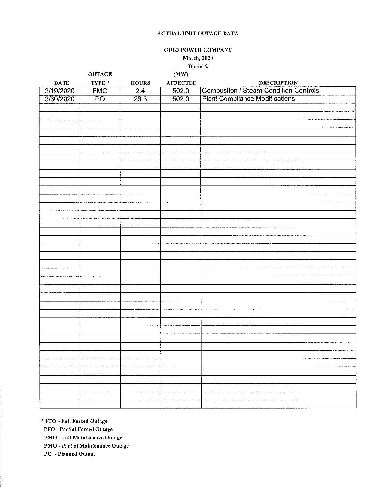GULF POWER COMPANY

March, 2020

Daniel 2

|             | <b>OUTAGE</b>                                                                                           |                  | (MW)            |                                              |
|-------------|---------------------------------------------------------------------------------------------------------|------------------|-----------------|----------------------------------------------|
| <b>DATE</b> | $\ensuremath{\mathbf{T}}\ensuremath{\mathbf{Y}}\ensuremath{\mathbf{P}}\ensuremath{\mathbf{E}}\xspace$ * | <b>HOURS</b>     | <b>AFFECTED</b> | <b>DESCRIPTION</b>                           |
| 3/19/2020   | <b>FMO</b>                                                                                              | $\overline{2.4}$ | 502.0           | <b>Combustion / Steam Condition Controls</b> |
| 3/30/2020   | $\overline{PQ}$                                                                                         | 26.3             | 502.0           | <b>Plant Compliance Modifications</b>        |
|             |                                                                                                         |                  |                 |                                              |
|             |                                                                                                         |                  |                 |                                              |
|             |                                                                                                         |                  |                 |                                              |
|             |                                                                                                         |                  |                 |                                              |
|             |                                                                                                         |                  |                 |                                              |
|             |                                                                                                         |                  |                 |                                              |
|             |                                                                                                         |                  |                 |                                              |
|             |                                                                                                         |                  |                 |                                              |
|             |                                                                                                         |                  |                 |                                              |
|             |                                                                                                         |                  |                 |                                              |
|             |                                                                                                         |                  |                 |                                              |
|             |                                                                                                         |                  |                 |                                              |
|             |                                                                                                         |                  |                 |                                              |
|             |                                                                                                         |                  |                 |                                              |
|             |                                                                                                         |                  |                 |                                              |
|             |                                                                                                         |                  |                 |                                              |
|             |                                                                                                         |                  |                 |                                              |
|             |                                                                                                         |                  |                 |                                              |
|             |                                                                                                         |                  |                 |                                              |
|             |                                                                                                         |                  |                 |                                              |
|             |                                                                                                         |                  |                 |                                              |
|             |                                                                                                         |                  |                 |                                              |
|             |                                                                                                         |                  |                 |                                              |
|             |                                                                                                         |                  |                 |                                              |
|             |                                                                                                         |                  |                 |                                              |
|             |                                                                                                         |                  |                 |                                              |
|             |                                                                                                         |                  |                 |                                              |
|             |                                                                                                         |                  |                 |                                              |
|             |                                                                                                         |                  |                 |                                              |
|             |                                                                                                         |                  |                 |                                              |
|             |                                                                                                         |                  |                 |                                              |
|             |                                                                                                         |                  |                 |                                              |
|             |                                                                                                         |                  |                 |                                              |
|             |                                                                                                         |                  |                 |                                              |
|             |                                                                                                         |                  |                 |                                              |
|             |                                                                                                         |                  |                 |                                              |
|             |                                                                                                         |                  |                 |                                              |
|             |                                                                                                         |                  |                 |                                              |
|             |                                                                                                         |                  |                 |                                              |
|             |                                                                                                         |                  |                 |                                              |

\* **FFO - Full Forced Outnge** 

**PFO - Pnrtinl Forced Outnge** 

**FMO - Full Maintenance Outnge** 

**PMO - Partial Maintenance Outage** 

**PO - Planned Outage**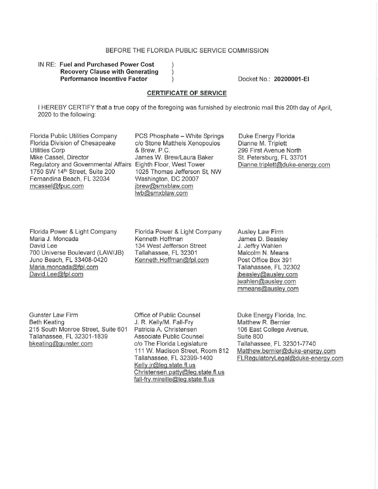# BEFORE THE FLORIDA PUBLIC SERVICE COMMISSION

 $\mathcal{E}$  $\lambda$ 

# IN **RE: Fuel and Purchased Power Cost Recovery Clause with Generating Performance Incentive Factor**

Docket No.: **20200001-EI** 

# **CERTIFICATE OF SERVICE**

I HEREBY CERTIFY that a true copy of the foregoing was furnished by electronic mail this 20th day of April, 2020 to the following:

Florida Public Utilities Company PCS Phosphate - White Springs<br>Florida Division of Chesapeake c/o Stone Mattheis Xenopoulos Utilities Corp **by Community 8** Brew, P.C. Mike Cassel, Director **Internal State Addam** James W. Brew/Laura Baker Regulatory and Governmental Affairs Eighth Floor, West Tower 1750 SW 14<sup>th</sup> Street, Suite 200 1025 Thomas Jefferson St, NW Fernandina Beach, FL 32034 Washington, DC 20007 mcassel@fpuc.com ibrew@smxblaw.com

c/o Stone Mattheis Xenopoulos lwb@smxblaw.com

Duke Energy Florida Dianne M. Triplett 299 First Avenue North St. Petersburg, FL 33701 Dianne. triplett@duke-energy com

Florida Power & Light Company Maria J. Moncada David Lee 700 Universe Boulevard (LAW/JB) Juno Beach, **FL** 33408-0420 Maria.moncada@fpl.com David.Lee@fpl.com

Florida Power & Light Company Kenneth Hoffman 134 West Jefferson Street Tallahassee, FL 32301 Kenneth.Hoffman@fpl.com

Ausley Law Firm James D. Beasley J. Jeffry Wahlen Malcolm N. Means Post Office Box 391 Tallahassee, **FL** 32302 jbeasley@ausley.com jwahlen@ausley.com mmeans@ausley.com

Gunster Law Firm Beth Keating 215 South Monroe Street, Suite 601 Tallahassee, FL 32301-1839 bkeating@gunster.com

Office of Public Counsel J. R. Kelly/M. Fall-Fry Patricia A. Christensen Associate Public Counsel c/o The Florida Legislature 111 W. Madison Street, Room 812 Tallahassee, FL 32399-1400 Kelly.jr@Jeg.state.ft. us Christensen. patty@leg.state. fl. us fall-fry.mireille@leg.state.fl.us

Duke Energy Florida, Inc. Matthew R. Bernier 106 East College Avenue, Suite 800 Tallahassee, FL 32301-7740 Matthew.bernier@duke-energy.com FLRegulatoryLegal@duke-energy.com